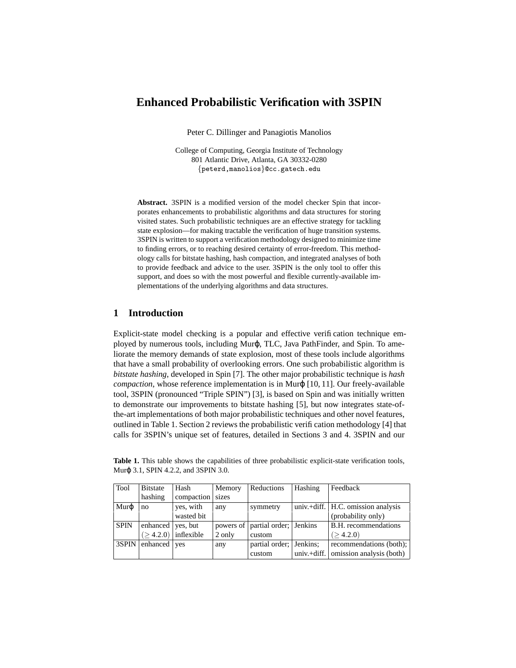# **Enhanced Probabilistic Verification with 3SPIN**

Peter C. Dillinger and Panagiotis Manolios

College of Computing, Georgia Institute of Technology 801 Atlantic Drive, Atlanta, GA 30332-0280 {peterd,manolios}@cc.gatech.edu

**Abstract.** 3SPIN is a modified version of the model checker Spin that incorporates enhancements to probabilistic algorithms and data structures for storing visited states. Such probabilistic techniques are an effective strategy for tackling state explosion—for making tractable the verification of huge transition systems. 3SPIN is written to support a verification methodology designed to minimize time to finding errors, or to reaching desired certainty of error-freedom. This methodology calls for bitstate hashing, hash compaction, and integrated analyses of both to provide feedback and advice to the user. 3SPIN is the only tool to offer this support, and does so with the most powerful and flexible currently-available implementations of the underlying algorithms and data structures.

### **1 Introduction**

Explicit-state model checking is a popular and effective verification technique employed by numerous tools, including Murφ, TLC, Java PathFinder, and Spin. To ameliorate the memory demands of state explosion, most of these tools include algorithms that have a small probability of overlooking errors. One such probabilistic algorithm is *bitstate hashing*, developed in Spin [7]. The other major probabilistic technique is *hash compaction*, whose reference implementation is in Μurφ [10, 11]. Our freely-available tool, 3SPIN (pronounced "Triple SPIN") [3], is based on Spin and was initially written to demonstrate our improvements to bitstate hashing [5], but now integrates state-ofthe-art implementations of both major probabilistic techniques and other novel features, outlined in Table 1. Section 2 reviews the probabilistic verification methodology [4] that calls for 3SPIN's unique set of features, detailed in Sections 3 and 4. 3SPIN and our

**Table 1.** This table shows the capabilities of three probabilistic explicit-state verification tools, Murϕ 3.1, SPIN 4.2.2, and 3SPIN 3.0.

| Tool         | Bitstate          | Hash                    | Memory | Reductions                       | Hashing       | Feedback                           |
|--------------|-------------------|-------------------------|--------|----------------------------------|---------------|------------------------------------|
|              | hashing           | compaction              | sizes  |                                  |               |                                    |
| $Mur\varphi$ | no                | yes, with               | any    | symmetry                         |               | univ.+diff. H.C. omission analysis |
|              |                   | wasted bit              |        |                                  |               | (probability only)                 |
| <b>SPIN</b>  | enhanced ves, but |                         |        | powers of partial order; Jenkins |               | B.H. recommendations               |
|              |                   | $(>4.2.0)$   inflexible | 2 only | custom                           |               | (>4.2.0)                           |
| 3SPIN        | enhanced yes      |                         | any    | partial order; Jenkins;          |               | recommendations (both);            |
|              |                   |                         |        | custom                           | $univ.+diff.$ | omission analysis (both)           |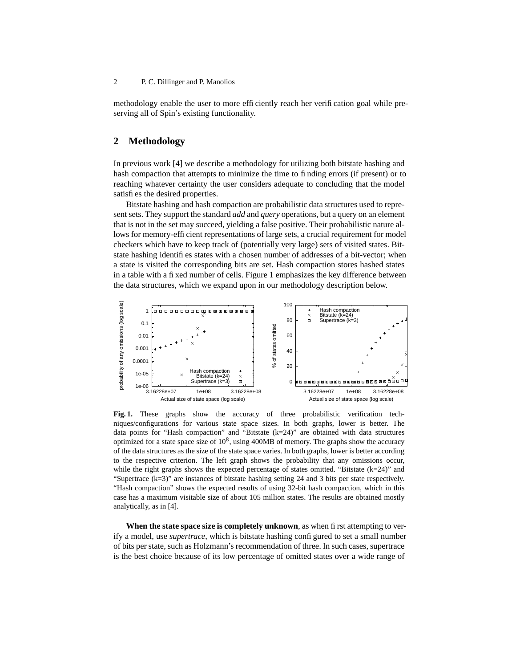methodology enable the user to more efficiently reach her verification goal while preserving all of Spin's existing functionality.

### **2 Methodology**

In previous work [4] we describe a methodology for utilizing both bitstate hashing and hash compaction that attempts to minimize the time to finding errors (if present) or to reaching whatever certainty the user considers adequate to concluding that the model satisfies the desired properties.

Bitstate hashing and hash compaction are probabilistic data structures used to represent sets. They support the standard *add* and *query* operations, but a query on an element that is not in the set may succeed, yielding a false positive. Their probabilistic nature allows for memory-efficient representations of large sets, a crucial requirement for model checkers which have to keep track of (potentially very large) sets of visited states. Bitstate hashing identifies states with a chosen number of addresses of a bit-vector; when a state is visited the corresponding bits are set. Hash compaction stores hashed states in a table with a fixed number of cells. Figure 1 emphasizes the key difference between the data structures, which we expand upon in our methodology description below.



**Fig. 1.** These graphs show the accuracy of three probabilistic verification techniques/configurations for various state space sizes. In both graphs, lower is better. The data points for "Hash compaction" and "Bitstate  $(k=24)$ " are obtained with data structures optimized for a state space size of  $10^8$ , using 400MB of memory. The graphs show the accuracy of the data structures as the size of the state space varies. In both graphs, lower is better according to the respective criterion. The left graph shows the probability that any omissions occur, while the right graphs shows the expected percentage of states omitted. "Bitstate (k=24)" and "Supertrace (k=3)" are instances of bitstate hashing setting 24 and 3 bits per state respectively. "Hash compaction" shows the expected results of using 32-bit hash compaction, which in this case has a maximum visitable size of about 105 million states. The results are obtained mostly analytically, as in [4].

**When the state space size is completely unknown**, as when first attempting to verify a model, use *supertrace*, which is bitstate hashing configured to set a small number of bits per state, such as Holzmann's recommendation of three. In such cases, supertrace is the best choice because of its low percentage of omitted states over a wide range of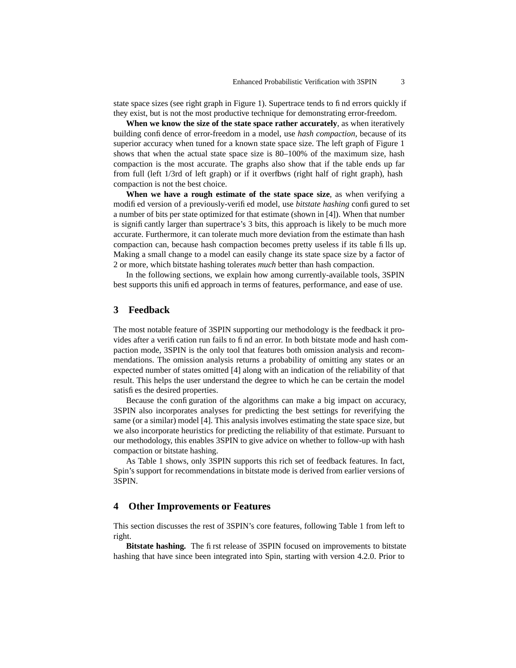state space sizes (see right graph in Figure 1). Supertrace tends to find errors quickly if they exist, but is not the most productive technique for demonstrating error-freedom.

**When we know the size of the state space rather accurately**, as when iteratively building confidence of error-freedom in a model, use *hash compaction*, because of its superior accuracy when tuned for a known state space size. The left graph of Figure 1 shows that when the actual state space size is 80–100% of the maximum size, hash compaction is the most accurate. The graphs also show that if the table ends up far from full (left 1/3rd of left graph) or if it overflows (right half of right graph), hash compaction is not the best choice.

**When we have a rough estimate of the state space size**, as when verifying a modified version of a previously-verified model, use *bitstate hashing* configured to set a number of bits per state optimized for that estimate (shown in [4]). When that number is significantly larger than supertrace's 3 bits, this approach is likely to be much more accurate. Furthermore, it can tolerate much more deviation from the estimate than hash compaction can, because hash compaction becomes pretty useless if its table fills up. Making a small change to a model can easily change its state space size by a factor of 2 or more, which bitstate hashing tolerates *much* better than hash compaction.

In the following sections, we explain how among currently-available tools, 3SPIN best supports this unified approach in terms of features, performance, and ease of use.

## **3 Feedback**

The most notable feature of 3SPIN supporting our methodology is the feedback it provides after a verification run fails to find an error. In both bitstate mode and hash compaction mode, 3SPIN is the only tool that features both omission analysis and recommendations. The omission analysis returns a probability of omitting any states or an expected number of states omitted [4] along with an indication of the reliability of that result. This helps the user understand the degree to which he can be certain the model satisfies the desired properties.

Because the configuration of the algorithms can make a big impact on accuracy, 3SPIN also incorporates analyses for predicting the best settings for reverifying the same (or a similar) model [4]. This analysis involves estimating the state space size, but we also incorporate heuristics for predicting the reliability of that estimate. Pursuant to our methodology, this enables 3SPIN to give advice on whether to follow-up with hash compaction or bitstate hashing.

As Table 1 shows, only 3SPIN supports this rich set of feedback features. In fact, Spin's support for recommendations in bitstate mode is derived from earlier versions of 3SPIN.

### **4 Other Improvements or Features**

This section discusses the rest of 3SPIN's core features, following Table 1 from left to right.

**Bitstate hashing.** The first release of 3SPIN focused on improvements to bitstate hashing that have since been integrated into Spin, starting with version 4.2.0. Prior to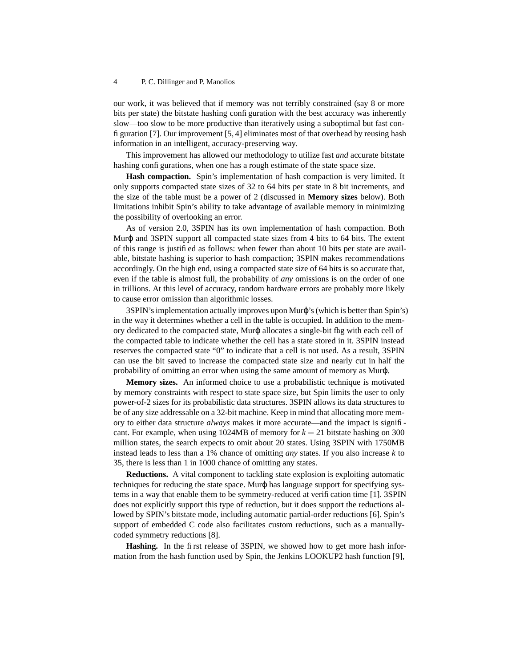our work, it was believed that if memory was not terribly constrained (say 8 or more bits per state) the bitstate hashing configuration with the best accuracy was inherently slow—too slow to be more productive than iteratively using a suboptimal but fast configuration [7]. Our improvement [5, 4] eliminates most of that overhead by reusing hash information in an intelligent, accuracy-preserving way.

This improvement has allowed our methodology to utilize fast *and* accurate bitstate hashing configurations, when one has a rough estimate of the state space size.

**Hash compaction.** Spin's implementation of hash compaction is very limited. It only supports compacted state sizes of 32 to 64 bits per state in 8 bit increments, and the size of the table must be a power of 2 (discussed in **Memory sizes** below). Both limitations inhibit Spin's ability to take advantage of available memory in minimizing the possibility of overlooking an error.

As of version 2.0, 3SPIN has its own implementation of hash compaction. Both Murϕ and 3SPIN support all compacted state sizes from 4 bits to 64 bits. The extent of this range is justified as follows: when fewer than about 10 bits per state are available, bitstate hashing is superior to hash compaction; 3SPIN makes recommendations accordingly. On the high end, using a compacted state size of 64 bits is so accurate that, even if the table is almost full, the probability of *any* omissions is on the order of one in trillions. At this level of accuracy, random hardware errors are probably more likely to cause error omission than algorithmic losses.

3SPIN's implementation actually improves upon Muro's (which is better than Spin's) in the way it determines whether a cell in the table is occupied. In addition to the memory dedicated to the compacted state, Murϕ allocates a single-bit flag with each cell of the compacted table to indicate whether the cell has a state stored in it. 3SPIN instead reserves the compacted state "0" to indicate that a cell is not used. As a result, 3SPIN can use the bit saved to increase the compacted state size and nearly cut in half the probability of omitting an error when using the same amount of memory as Murϕ.

**Memory sizes.** An informed choice to use a probabilistic technique is motivated by memory constraints with respect to state space size, but Spin limits the user to only power-of-2 sizes for its probabilistic data structures. 3SPIN allows its data structures to be of any size addressable on a 32-bit machine. Keep in mind that allocating more memory to either data structure *always* makes it more accurate—and the impact is significant. For example, when using  $1024MB$  of memory for  $k = 21$  bitstate hashing on 300 million states, the search expects to omit about 20 states. Using 3SPIN with 1750MB instead leads to less than a 1% chance of omitting *any* states. If you also increase *k* to 35, there is less than 1 in 1000 chance of omitting any states.

**Reductions.** A vital component to tackling state explosion is exploiting automatic techniques for reducing the state space. Murϕ has language support for specifying systems in a way that enable them to be symmetry-reduced at verification time [1]. 3SPIN does not explicitly support this type of reduction, but it does support the reductions allowed by SPIN's bitstate mode, including automatic partial-order reductions [6]. Spin's support of embedded C code also facilitates custom reductions, such as a manuallycoded symmetry reductions [8].

**Hashing.** In the first release of 3SPIN, we showed how to get more hash information from the hash function used by Spin, the Jenkins LOOKUP2 hash function [9],